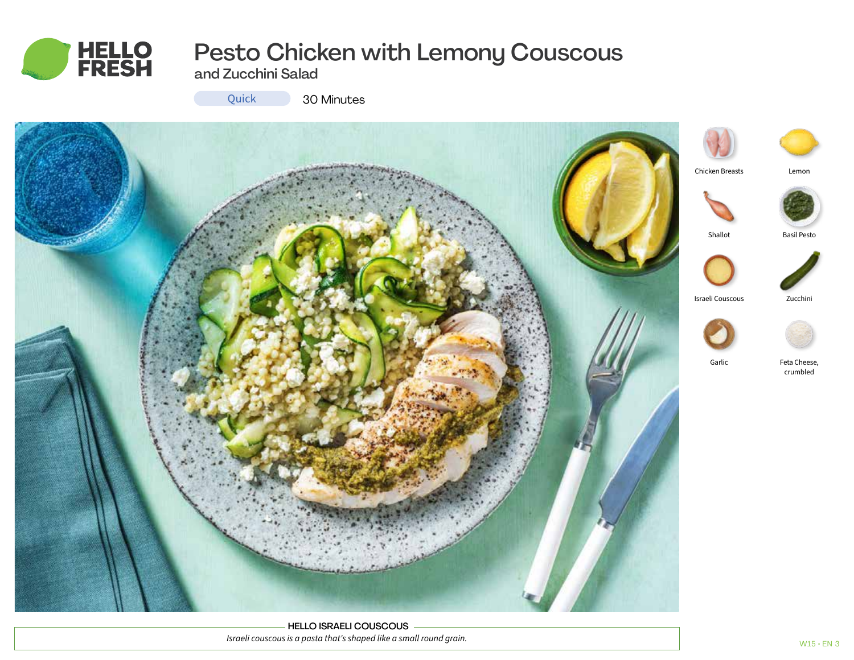

# Pesto Chicken with Lemony Couscous

and Zucchini Salad



Quick 30 Minutes